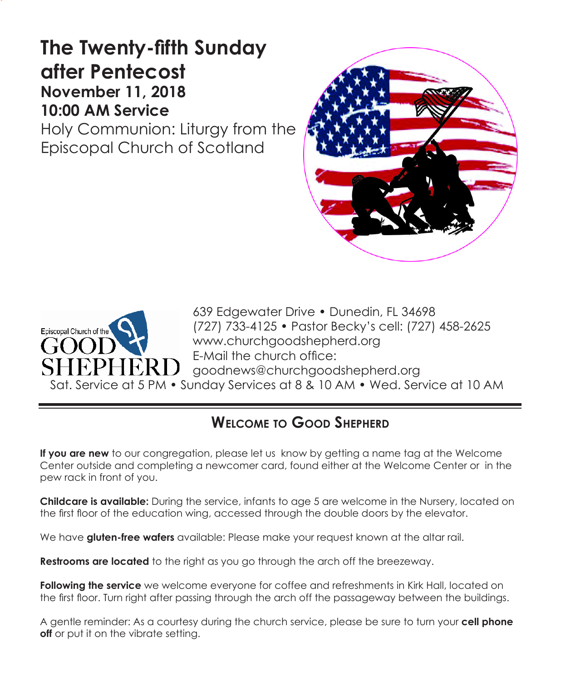# **The Twenty-fifth Sunday after Pentecost November 11, 2018 10:00 AM Service**

Holy Communion: Liturgy from the Episcopal Church of Scotland





639 Edgewater Drive • Dunedin, FL 34698 (727) 733-4125 • Pastor Becky's cell: (727) 458-2625 www.churchgoodshepherd.org E-Mail the church office: goodnews@churchgoodshepherd.org Sat. Service at 5 PM • Sunday Services at 8 & 10 AM • Wed. Service at 10 AM

# **Welcome to Good Shepherd**

**If you are new** to our congregation, please let us know by getting a name tag at the Welcome Center outside and completing a newcomer card, found either at the Welcome Center or in the pew rack in front of you.

**Childcare is available:** During the service, infants to age 5 are welcome in the Nursery, located on the first floor of the education wing, accessed through the double doors by the elevator.

We have **gluten-free wafers** available: Please make your request known at the altar rail.

**Restrooms are located** to the right as you go through the arch off the breezeway.

**Following the service** we welcome everyone for coffee and refreshments in Kirk Hall, located on the first floor. Turn right after passing through the arch off the passageway between the buildings.

A gentle reminder: As a courtesy during the church service, please be sure to turn your **cell phone off** or put it on the vibrate setting.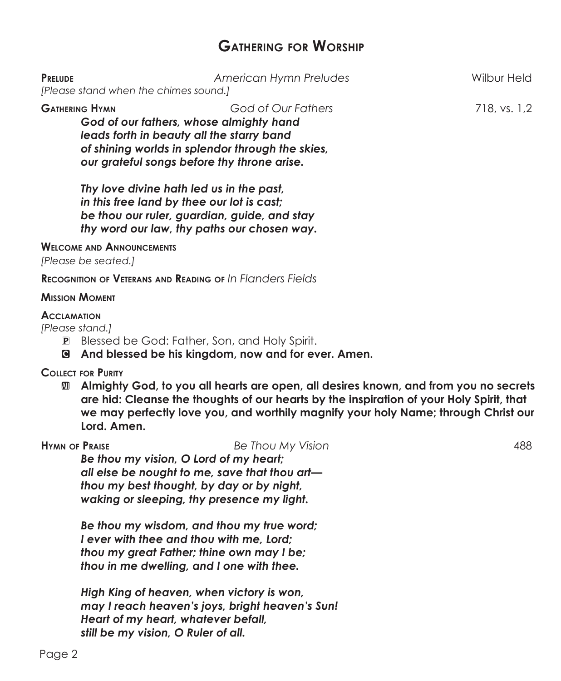## **Gathering for Worship**

| <b>PRELUDE</b>                                                   | American Hymn Preludes<br>[Please stand when the chimes sound.]                                                                                                                                               | Wilbur Held  |
|------------------------------------------------------------------|---------------------------------------------------------------------------------------------------------------------------------------------------------------------------------------------------------------|--------------|
| <b>GATHERING HYMN</b>                                            | God of Our Fathers<br>God of our fathers, whose almighty hand<br>leads forth in beauty all the starry band<br>of shining worlds in splendor through the skies,<br>our grateful songs before thy throne arise. | 718, vs. 1,2 |
|                                                                  | Thy love divine hath led us in the past,<br>in this free land by thee our lot is cast;<br>be thou our ruler, guardian, guide, and stay<br>thy word our law, thy paths our chosen way.                         |              |
| [Please be seated.]                                              | <b>WELCOME AND ANNOUNCEMENTS</b>                                                                                                                                                                              |              |
|                                                                  | <b>RECOGNITION OF VETERANS AND READING OF IN FLANDERS FIELDS</b>                                                                                                                                              |              |
| <b>MISSION MOMENT</b>                                            |                                                                                                                                                                                                               |              |
| <b>ACCLAMATION</b><br>[Please stand.]<br>$ {\bf P} $<br><b>C</b> | Blessed be God: Father, Son, and Holy Spirit.<br>And blessed be his kingdom, now and for ever. Amen.                                                                                                          |              |
| <b>COLLECT FOR PURITY</b>                                        |                                                                                                                                                                                                               |              |

 $\blacksquare$  Almighty God, to you all hearts are open, all desires known, and from you no secrets **are hid: Cleanse the thoughts of our hearts by the inspiration of your Holy Spirit, that we may perfectly love you, and worthily magnify your holy Name; through Christ our Lord. Amen.**

**Hymn of Praise** *Be Thou My Vision* 488 *Be thou my vision, O Lord of my heart; all else be nought to me, save that thou art thou my best thought, by day or by night, waking or sleeping, thy presence my light.*

*Be thou my wisdom, and thou my true word; I ever with thee and thou with me, Lord; thou my great Father; thine own may I be; thou in me dwelling, and I one with thee.*

*High King of heaven, when victory is won, may I reach heaven's joys, bright heaven's Sun! Heart of my heart, whatever befall, still be my vision, O Ruler of all.*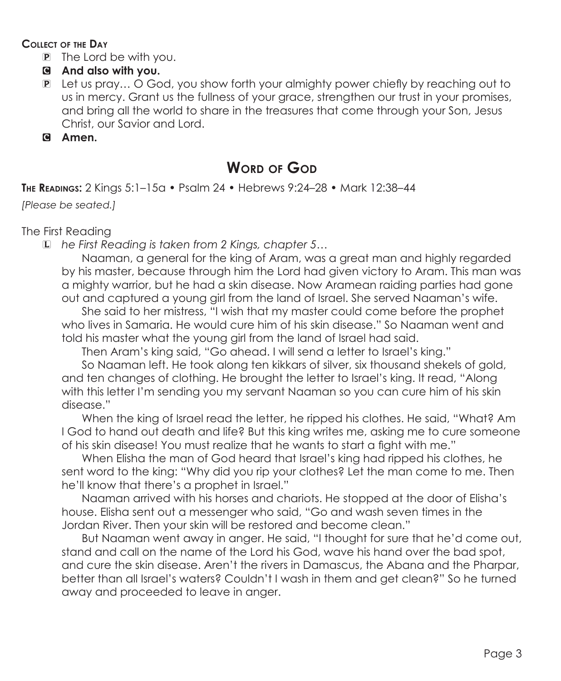#### **Collect of the Day**

P The Lord be with you.

#### C **And also with you.**

- P Let us pray… O God, you show forth your almighty power chiefly by reaching out to us in mercy. Grant us the fullness of your grace, strengthen our trust in your promises, and bring all the world to share in the treasures that come through your Son, Jesus Christ, our Savior and Lord.
- C **Amen.**

# **Word of God**

**The Readings:** 2 Kings 5:1–15a • Psalm 24 • Hebrews 9:24–28 • Mark 12:38–44

*[Please be seated.]*

#### The First Reading

L *he First Reading is taken from 2 Kings, chapter 5…*

 Naaman, a general for the king of Aram, was a great man and highly regarded by his master, because through him the Lord had given victory to Aram. This man was a mighty warrior, but he had a skin disease. Now Aramean raiding parties had gone out and captured a young girl from the land of Israel. She served Naaman's wife.

 She said to her mistress, "I wish that my master could come before the prophet who lives in Samaria. He would cure him of his skin disease." So Naaman went and told his master what the young girl from the land of Israel had said.

Then Aram's king said, "Go ahead. I will send a letter to Israel's king."

 So Naaman left. He took along ten kikkars of silver, six thousand shekels of gold, and ten changes of clothing. He brought the letter to Israel's king. It read, "Along with this letter I'm sending you my servant Naaman so you can cure him of his skin disease."

 When the king of Israel read the letter, he ripped his clothes. He said, "What? Am I God to hand out death and life? But this king writes me, asking me to cure someone of his skin disease! You must realize that he wants to start a fight with me."

 When Elisha the man of God heard that Israel's king had ripped his clothes, he sent word to the king: "Why did you rip your clothes? Let the man come to me. Then he'll know that there's a prophet in Israel."

 Naaman arrived with his horses and chariots. He stopped at the door of Elisha's house. Elisha sent out a messenger who said, "Go and wash seven times in the Jordan River. Then your skin will be restored and become clean."

 But Naaman went away in anger. He said, "I thought for sure that he'd come out, stand and call on the name of the Lord his God, wave his hand over the bad spot, and cure the skin disease. Aren't the rivers in Damascus, the Abana and the Pharpar, better than all Israel's waters? Couldn't I wash in them and get clean?" So he turned away and proceeded to leave in anger.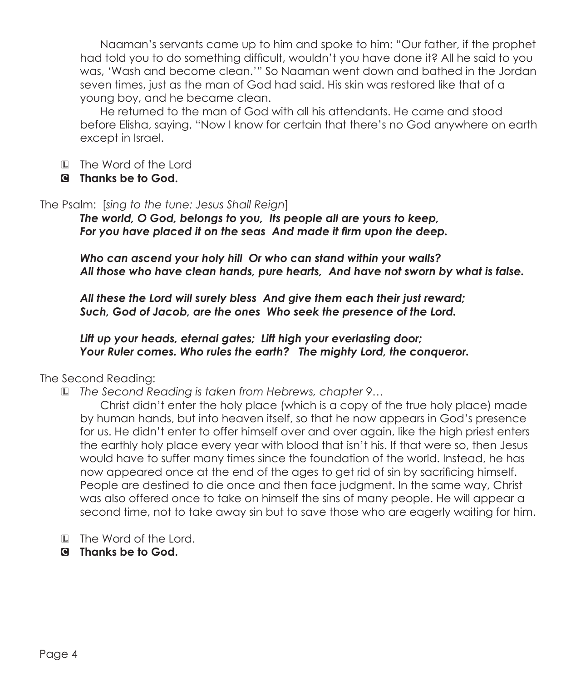Naaman's servants came up to him and spoke to him: "Our father, if the prophet had told you to do something difficult, wouldn't you have done it? All he said to you was, 'Wash and become clean.'" So Naaman went down and bathed in the Jordan seven times, just as the man of God had said. His skin was restored like that of a young boy, and he became clean.

 He returned to the man of God with all his attendants. He came and stood before Elisha, saying, "Now I know for certain that there's no God anywhere on earth except in Israel.

- L The Word of the Lord
- C **Thanks be to God.**

The Psalm: [*sing to the tune: Jesus Shall Reign*]

*The world, O God, belongs to you, Its people all are yours to keep, For you have placed it on the seas And made it firm upon the deep.*

*Who can ascend your holy hill Or who can stand within your walls? All those who have clean hands, pure hearts, And have not sworn by what is false.*

*All these the Lord will surely bless And give them each their just reward; Such, God of Jacob, are the ones Who seek the presence of the Lord.*

*Lift up your heads, eternal gates; Lift high your everlasting door; Your Ruler comes. Who rules the earth? The mighty Lord, the conqueror.*

The Second Reading:

L *The Second Reading is taken from Hebrews, chapter 9…*

 Christ didn't enter the holy place (which is a copy of the true holy place) made by human hands, but into heaven itself, so that he now appears in God's presence for us. He didn't enter to offer himself over and over again, like the high priest enters the earthly holy place every year with blood that isn't his. If that were so, then Jesus would have to suffer many times since the foundation of the world. Instead, he has now appeared once at the end of the ages to get rid of sin by sacrificing himself. People are destined to die once and then face judgment. In the same way, Christ was also offered once to take on himself the sins of many people. He will appear a second time, not to take away sin but to save those who are eagerly waiting for him.

- L The Word of the Lord.
- C **Thanks be to God.**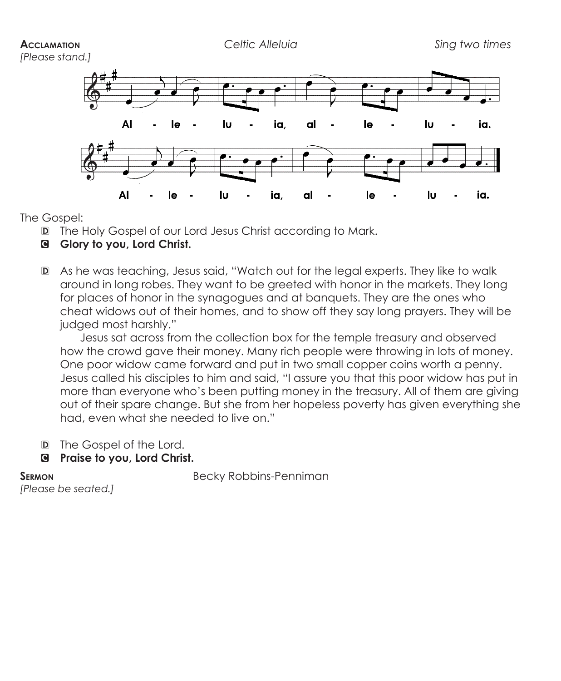#### **Acclamation** *Celtic Alleluia Sing two times*

*[Please stand.]*



The Gospel:

- D The Holy Gospel of our Lord Jesus Christ according to Mark.
- C **Glory to you, Lord Christ.**
- D As he was teaching, Jesus said, "Watch out for the legal experts. They like to walk around in long robes. They want to be greeted with honor in the markets. They long for places of honor in the synagogues and at banquets. They are the ones who cheat widows out of their homes, and to show off they say long prayers. They will be judged most harshly."

 Jesus sat across from the collection box for the temple treasury and observed how the crowd gave their money. Many rich people were throwing in lots of money. One poor widow came forward and put in two small copper coins worth a penny. Jesus called his disciples to him and said, "I assure you that this poor widow has put in more than everyone who's been putting money in the treasury. All of them are giving out of their spare change. But she from her hopeless poverty has given everything she had, even what she needed to live on."

- D The Gospel of the Lord.
- C **Praise to you, Lord Christ.**

**SERMON** Becky Robbins-Penniman

*[Please be seated.]*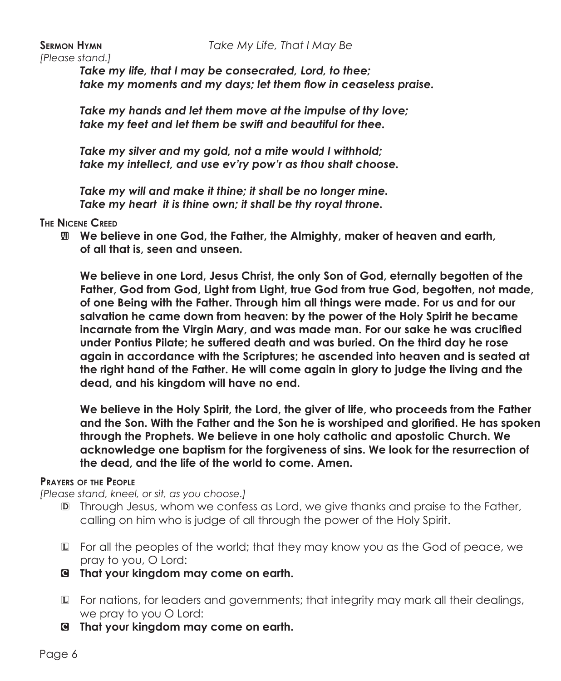#### **Sermon Hymn** *Take My Life, That I May Be*

*[Please stand.]*

*Take my life, that I may be consecrated, Lord, to thee; take my moments and my days; let them flow in ceaseless praise.*

*Take my hands and let them move at the impulse of thy love; take my feet and let them be swift and beautiful for thee.*

*Take my silver and my gold, not a mite would I withhold; take my intellect, and use ev'ry pow'r as thou shalt choose.*

*Take my will and make it thine; it shall be no longer mine. Take my heart it is thine own; it shall be thy royal throne.*

#### **The Nicene Creed**

**M** We believe in one God, the Father, the Almighty, maker of heaven and earth,  **of all that is, seen and unseen.**

**We believe in one Lord, Jesus Christ, the only Son of God, eternally begotten of the Father, God from God, Light from Light, true God from true God, begotten, not made, of one Being with the Father. Through him all things were made. For us and for our salvation he came down from heaven: by the power of the Holy Spirit he became incarnate from the Virgin Mary, and was made man. For our sake he was crucified under Pontius Pilate; he suffered death and was buried. On the third day he rose again in accordance with the Scriptures; he ascended into heaven and is seated at the right hand of the Father. He will come again in glory to judge the living and the dead, and his kingdom will have no end.**

**We believe in the Holy Spirit, the Lord, the giver of life, who proceeds from the Father and the Son. With the Father and the Son he is worshiped and glorified. He has spoken through the Prophets. We believe in one holy catholic and apostolic Church. We acknowledge one baptism for the forgiveness of sins. We look for the resurrection of the dead, and the life of the world to come. Amen.**

#### **Prayers of the People**

*[Please stand, kneel, or sit, as you choose.]*

- D Through Jesus, whom we confess as Lord, we give thanks and praise to the Father, calling on him who is judge of all through the power of the Holy Spirit.
- L For all the peoples of the world; that they may know you as the God of peace, we pray to you, O Lord:
- C **That your kingdom may come on earth.**
- L For nations, for leaders and governments; that integrity may mark all their dealings, we pray to you O Lord:
- C **That your kingdom may come on earth.**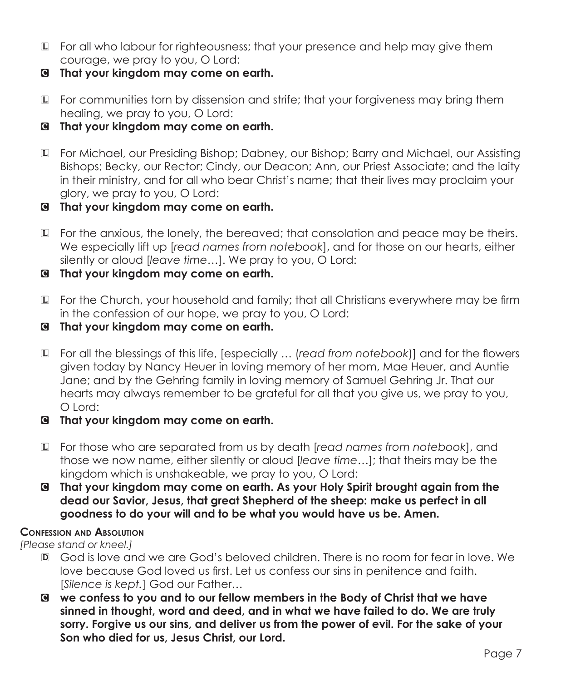- L For all who labour for righteousness; that your presence and help may give them courage, we pray to you, O Lord:
- C **That your kingdom may come on earth.**
- L For communities torn by dissension and strife; that your forgiveness may bring them healing, we pray to you, O Lord:
- C **That your kingdom may come on earth.**
- L For Michael, our Presiding Bishop; Dabney, our Bishop; Barry and Michael, our Assisting Bishops; Becky, our Rector; Cindy, our Deacon; Ann, our Priest Associate; and the laity in their ministry, and for all who bear Christ's name; that their lives may proclaim your glory, we pray to you, O Lord:
- C **That your kingdom may come on earth.**
- L For the anxious, the lonely, the bereaved; that consolation and peace may be theirs. We especially lift up [*read names from notebook*], and for those on our hearts, either silently or aloud [*leave time…*]. We pray to you, O Lord:
- C **That your kingdom may come on earth.**
- L For the Church, your household and family; that all Christians everywhere may be firm in the confession of our hope, we pray to you, O Lord:
- C **That your kingdom may come on earth.**
- L For all the blessings of this life, [especially … (*read from notebook*)] and for the flowers given today by Nancy Heuer in loving memory of her mom, Mae Heuer, and Auntie Jane; and by the Gehring family in loving memory of Samuel Gehring Jr. That our hearts may always remember to be grateful for all that you give us, we pray to you, O Lord:
- C **That your kingdom may come on earth.**
- L For those who are separated from us by death [*read names from notebook*], and those we now name, either silently or aloud [*leave time…*]; that theirs may be the kingdom which is unshakeable, we pray to you, O Lord:
- C **That your kingdom may come on earth. As your Holy Spirit brought again from the dead our Savior, Jesus, that great Shepherd of the sheep: make us perfect in all goodness to do your will and to be what you would have us be. Amen.**

#### **Confession and Absolution**

*[Please stand or kneel.]*

- D God is love and we are God's beloved children. There is no room for fear in love. We love because God loved us first. Let us confess our sins in penitence and faith. [*Silence is kept.*] God our Father…
- C **we confess to you and to our fellow members in the Body of Christ that we have sinned in thought, word and deed, and in what we have failed to do. We are truly sorry. Forgive us our sins, and deliver us from the power of evil. For the sake of your Son who died for us, Jesus Christ, our Lord.**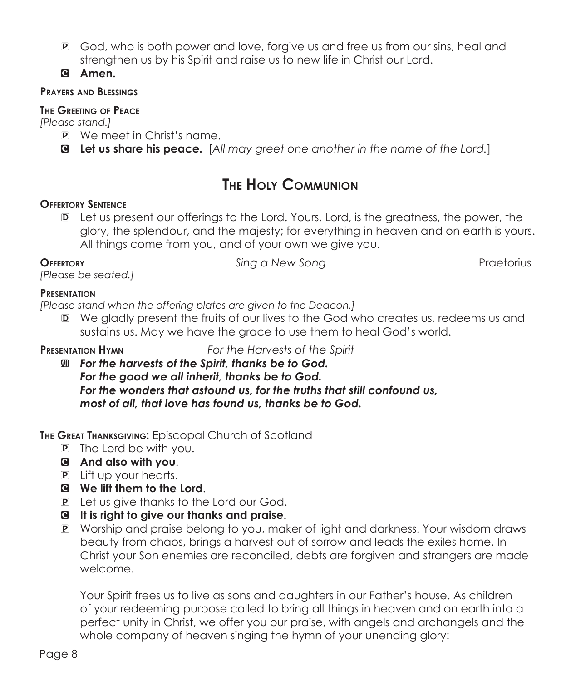- P God, who is both power and love, forgive us and free us from our sins, heal and strengthen us by his Spirit and raise us to new life in Christ our Lord.
- C **Amen.**

#### **Prayers and Blessings**

#### **The Greeting of Peace**

*[Please stand.]*

- P We meet in Christ's name.
- C **Let us share his peace.** [*All may greet one another in the name of the Lord.*]

# **The Holy Communion**

#### **Offertory Sentence**

D Let us present our offerings to the Lord. Yours, Lord, is the greatness, the power, the glory, the splendour, and the majesty; for everything in heaven and on earth is yours. All things come from you, and of your own we give you.

**Offertory** *Sing a New Song* Praetorius

*[Please be seated.]*

#### **Presentation**

*[Please stand when the offering plates are given to the Deacon.]*

D We gladly present the fruits of our lives to the God who creates us, redeems us and sustains us. May we have the grace to use them to heal God's world.

**Presentation Hymn** *For the Harvests of the Spirit*

 $M$  **For the harvests of the Spirit, thanks be to God.** *For the good we all inherit, thanks be to God. For the wonders that astound us, for the truths that still confound us, most of all, that love has found us, thanks be to God.*

**The Great Thanksgiving:** Episcopal Church of Scotland

- P The Lord be with you.
- C **And also with you**.
- P Lift up your hearts.
- C **We lift them to the Lord**.
- P Let us give thanks to the Lord our God.
- C **It is right to give our thanks and praise.**
- P Worship and praise belong to you, maker of light and darkness. Your wisdom draws beauty from chaos, brings a harvest out of sorrow and leads the exiles home. In Christ your Son enemies are reconciled, debts are forgiven and strangers are made welcome.

 Your Spirit frees us to live as sons and daughters in our Father's house. As children of your redeeming purpose called to bring all things in heaven and on earth into a perfect unity in Christ, we offer you our praise, with angels and archangels and the whole company of heaven singing the hymn of your unending glory: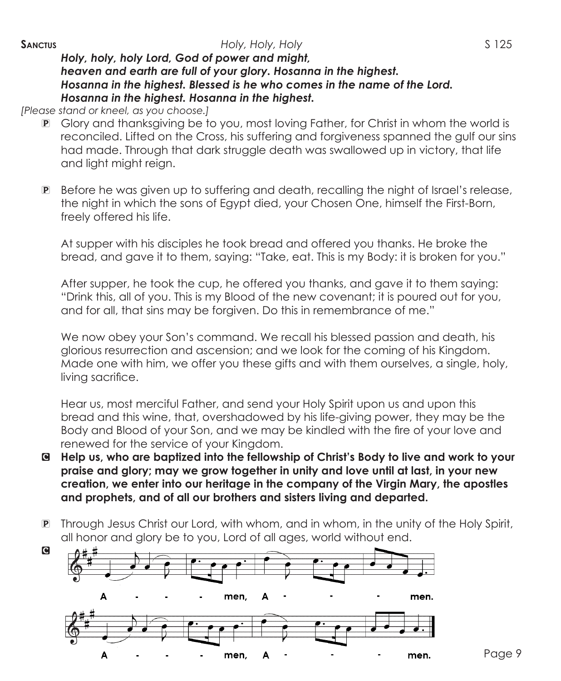*Holy, holy, holy Lord, God of power and might, heaven and earth are full of your glory. Hosanna in the highest. Hosanna in the highest. Blessed is he who comes in the name of the Lord. Hosanna in the highest. Hosanna in the highest.* 

*[Please stand or kneel, as you choose.]*

- P Glory and thanksgiving be to you, most loving Father, for Christ in whom the world is reconciled. Lifted on the Cross, his suffering and forgiveness spanned the gulf our sins had made. Through that dark struggle death was swallowed up in victory, that life and light might reign.
- P Before he was given up to suffering and death, recalling the night of Israel's release, the night in which the sons of Egypt died, your Chosen One, himself the First-Born, freely offered his life.

 At supper with his disciples he took bread and offered you thanks. He broke the bread, and gave it to them, saying: "Take, eat. This is my Body: it is broken for you."

 After supper, he took the cup, he offered you thanks, and gave it to them saying: "Drink this, all of you. This is my Blood of the new covenant; it is poured out for you, and for all, that sins may be forgiven. Do this in remembrance of me."

 We now obey your Son's command. We recall his blessed passion and death, his glorious resurrection and ascension; and we look for the coming of his Kingdom. Made one with him, we offer you these gifts and with them ourselves, a single, holy, living sacrifice.

 Hear us, most merciful Father, and send your Holy Spirit upon us and upon this bread and this wine, that, overshadowed by his life-giving power, they may be the Body and Blood of your Son, and we may be kindled with the fire of your love and renewed for the service of your Kingdom.

- C **Help us, who are baptized into the fellowship of Christ's Body to live and work to your praise and glory; may we grow together in unity and love until at last, in your new creation, we enter into our heritage in the company of the Virgin Mary, the apostles and prophets, and of all our brothers and sisters living and departed.**
- P Through Jesus Christ our Lord, with whom, and in whom, in the unity of the Holy Spirit, all honor and glory be to you, Lord of all ages, world without end.

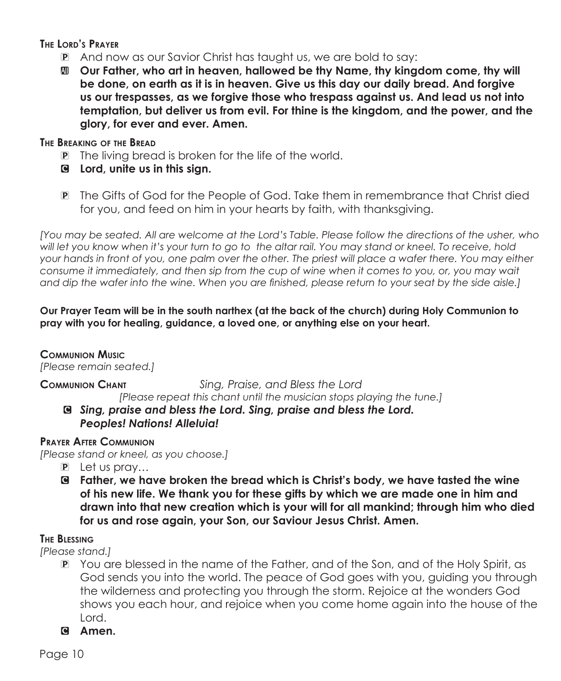**The Lord's Prayer**

- P And now as our Savior Christ has taught us, we are bold to say:
- a **Our Father, who art in heaven, hallowed be thy Name, thy kingdom come, thy will be done, on earth as it is in heaven. Give us this day our daily bread. And forgive us our trespasses, as we forgive those who trespass against us. And lead us not into temptation, but deliver us from evil. For thine is the kingdom, and the power, and the glory, for ever and ever. Amen.**

#### **The Breaking of the Bread**

- P The living bread is broken for the life of the world.
- C **Lord, unite us in this sign.**
- P The Gifts of God for the People of God. Take them in remembrance that Christ died for you, and feed on him in your hearts by faith, with thanksgiving.

*[You may be seated. All are welcome at the Lord's Table. Please follow the directions of the usher, who will let you know when it's your turn to go to the altar rail. You may stand or kneel. To receive, hold your hands in front of you, one palm over the other. The priest will place a wafer there. You may either consume it immediately, and then sip from the cup of wine when it comes to you, or, you may wait and dip the wafer into the wine. When you are finished, please return to your seat by the side aisle.]*

#### **Our Prayer Team will be in the south narthex (at the back of the church) during Holy Communion to pray with you for healing, guidance, a loved one, or anything else on your heart.**

### **Communion Music**

*[Please remain seated.]*

**Communion Chant** *Sing, Praise, and Bless the Lord [Please repeat this chant until the musician stops playing the tune.]*

C *Sing, praise and bless the Lord. Sing, praise and bless the Lord. Peoples! Nations! Alleluia!*

### **Prayer After Communion**

*[Please stand or kneel, as you choose.]*

- P Let us pray…
- C **Father, we have broken the bread which is Christ's body, we have tasted the wine of his new life. We thank you for these gifts by which we are made one in him and drawn into that new creation which is your will for all mankind; through him who died for us and rose again, your Son, our Saviour Jesus Christ. Amen.**

### **The Blessing**

*[Please stand.]*

- P You are blessed in the name of the Father, and of the Son, and of the Holy Spirit, as God sends you into the world. The peace of God goes with you, guiding you through the wilderness and protecting you through the storm. Rejoice at the wonders God shows you each hour, and rejoice when you come home again into the house of the Lord.
- C **Amen.**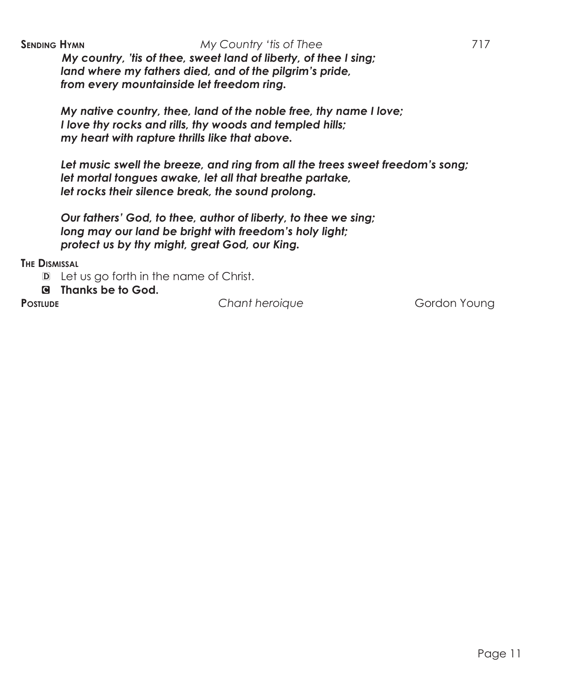*My country, 'tis of thee, sweet land of liberty, of thee I sing; land where my fathers died, and of the pilgrim's pride, from every mountainside let freedom ring.*

*My native country, thee, land of the noble free, thy name I love; I love thy rocks and rills, thy woods and templed hills; my heart with rapture thrills like that above.*

*Let music swell the breeze, and ring from all the trees sweet freedom's song; let mortal tongues awake, let all that breathe partake, let rocks their silence break, the sound prolong.*

*Our fathers' God, to thee, author of liberty, to thee we sing; long may our land be bright with freedom's holy light; protect us by thy might, great God, our King.*

**The Dismissal**

- D Let us go forth in the name of Christ.
- C **Thanks be to God.**

**PostLUDE Chant heroique Gordon Young**